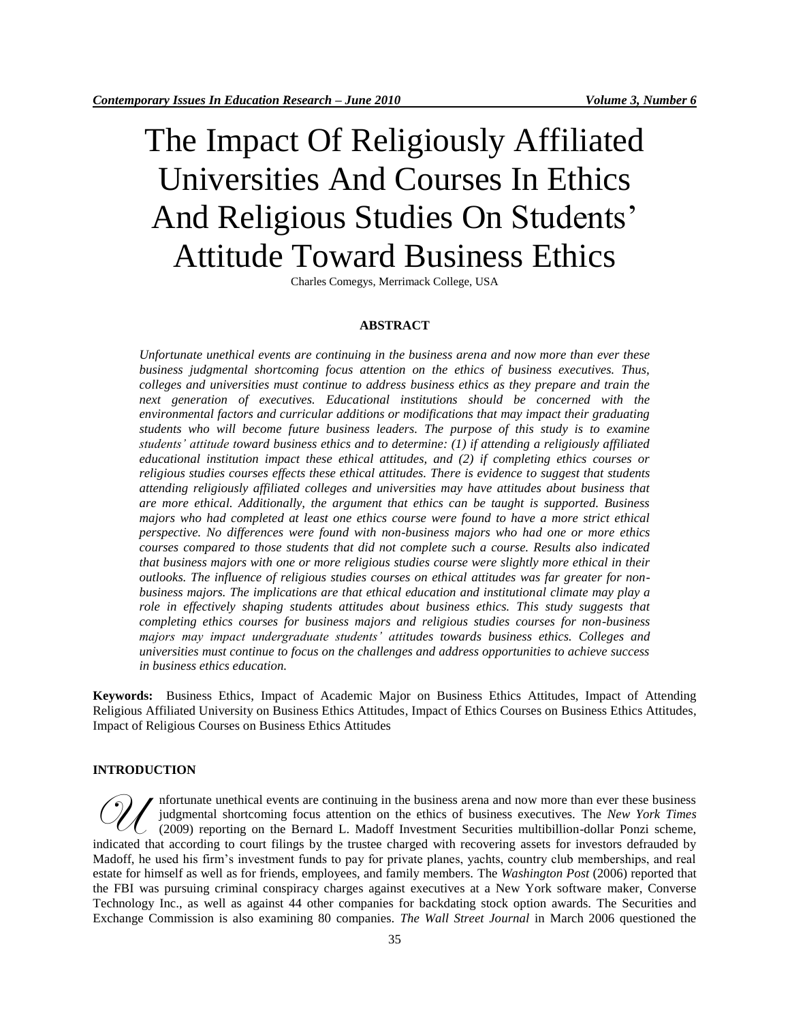# The Impact Of Religiously Affiliated Universities And Courses In Ethics And Religious Studies On Students' Attitude Toward Business Ethics

Charles Comegys, Merrimack College, USA

## **ABSTRACT**

*Unfortunate unethical events are continuing in the business arena and now more than ever these business judgmental shortcoming focus attention on the ethics of business executives. Thus, colleges and universities must continue to address business ethics as they prepare and train the next generation of executives. Educational institutions should be concerned with the environmental factors and curricular additions or modifications that may impact their graduating students who will become future business leaders. The purpose of this study is to examine students' attitude toward business ethics and to determine: (1) if attending a religiously affiliated educational institution impact these ethical attitudes, and (2) if completing ethics courses or religious studies courses effects these ethical attitudes. There is evidence to suggest that students attending religiously affiliated colleges and universities may have attitudes about business that are more ethical. Additionally, the argument that ethics can be taught is supported. Business majors who had completed at least one ethics course were found to have a more strict ethical perspective. No differences were found with non-business majors who had one or more ethics courses compared to those students that did not complete such a course. Results also indicated that business majors with one or more religious studies course were slightly more ethical in their outlooks. The influence of religious studies courses on ethical attitudes was far greater for nonbusiness majors. The implications are that ethical education and institutional climate may play a role in effectively shaping students attitudes about business ethics. This study suggests that completing ethics courses for business majors and religious studies courses for non-business majors may impact undergraduate students' attitudes towards business ethics. Colleges and universities must continue to focus on the challenges and address opportunities to achieve success in business ethics education.* 

**Keywords:** Business Ethics, Impact of Academic Major on Business Ethics Attitudes, Impact of Attending Religious Affiliated University on Business Ethics Attitudes, Impact of Ethics Courses on Business Ethics Attitudes, Impact of Religious Courses on Business Ethics Attitudes

#### **INTRODUCTION**

nfortunate unethical events are continuing in the business arena and now more than ever these business judgmental shortcoming focus attention on the ethics of business executives. The *New York Times* (2009) reporting on the Bernard L. Madoff Investment Securities multibillion-dollar Ponzi scheme, M flortunate unethical events are continuing in the business arena and now more than ever these business judgmental shortcoming focus attention on the ethics of business executives. The *New York Times* (2009) reporting on Madoff, he used his firm"s investment funds to pay for private planes, yachts, country club memberships, and real estate for himself as well as for friends, employees, and family members. The *Washington Post* (2006) reported that the FBI was pursuing criminal conspiracy charges against executives at a New York software maker, Converse Technology Inc., as well as against 44 other companies for backdating stock option awards. The Securities and Exchange Commission is also examining 80 companies. *The Wall Street Journal* in March 2006 questioned the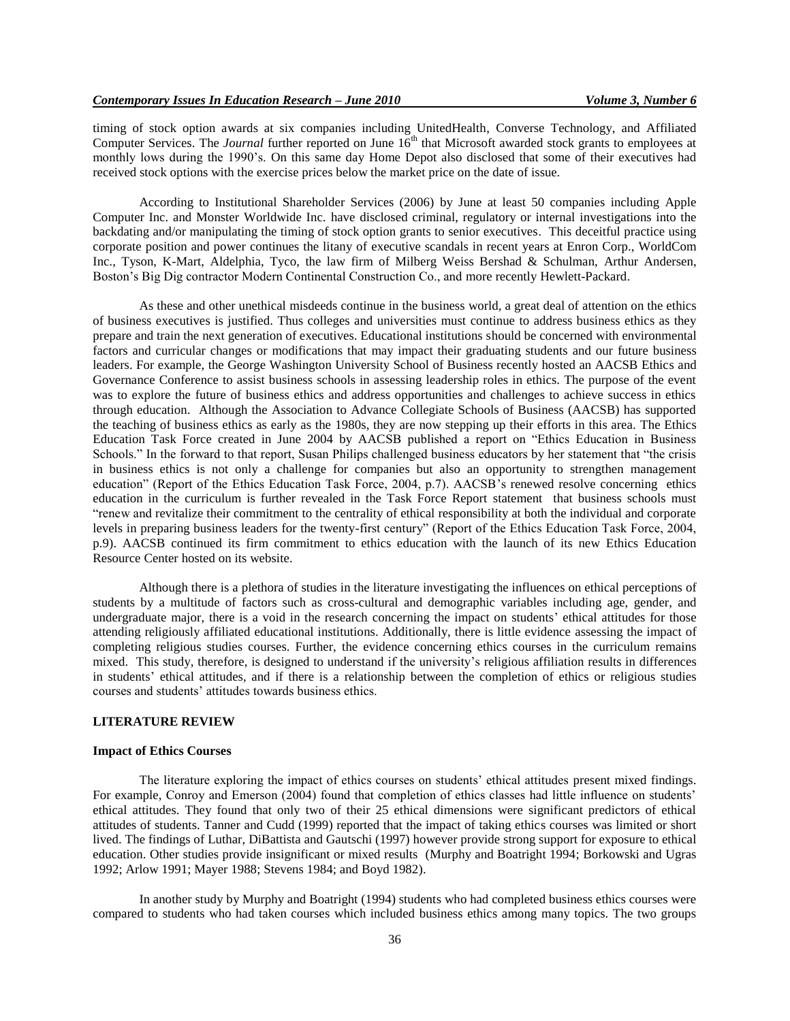timing of stock option awards at six companies including UnitedHealth, Converse Technology, and Affiliated Computer Services. The *Journal* further reported on June 16<sup>th</sup> that Microsoft awarded stock grants to employees at monthly lows during the 1990"s. On this same day Home Depot also disclosed that some of their executives had received stock options with the exercise prices below the market price on the date of issue.

According to Institutional Shareholder Services (2006) by June at least 50 companies including Apple Computer Inc. and Monster Worldwide Inc. have disclosed criminal, regulatory or internal investigations into the backdating and/or manipulating the timing of stock option grants to senior executives. This deceitful practice using corporate position and power continues the litany of executive scandals in recent years at Enron Corp., WorldCom Inc., Tyson, K-Mart, Aldelphia, Tyco, the law firm of Milberg Weiss Bershad & Schulman, Arthur Andersen, Boston"s Big Dig contractor Modern Continental Construction Co., and more recently Hewlett-Packard.

As these and other unethical misdeeds continue in the business world, a great deal of attention on the ethics of business executives is justified. Thus colleges and universities must continue to address business ethics as they prepare and train the next generation of executives. Educational institutions should be concerned with environmental factors and curricular changes or modifications that may impact their graduating students and our future business leaders. For example, the George Washington University School of Business recently hosted an AACSB Ethics and Governance Conference to assist business schools in assessing leadership roles in ethics. The purpose of the event was to explore the future of business ethics and address opportunities and challenges to achieve success in ethics through education. Although the Association to Advance Collegiate Schools of Business (AACSB) has supported the teaching of business ethics as early as the 1980s, they are now stepping up their efforts in this area. The Ethics Education Task Force created in June 2004 by AACSB published a report on "Ethics Education in Business Schools." In the forward to that report, Susan Philips challenged business educators by her statement that "the crisis in business ethics is not only a challenge for companies but also an opportunity to strengthen management education" (Report of the Ethics Education Task Force, 2004, p.7). AACSB's renewed resolve concerning ethics education in the curriculum is further revealed in the Task Force Report statement that business schools must "renew and revitalize their commitment to the centrality of ethical responsibility at both the individual and corporate levels in preparing business leaders for the twenty-first century" (Report of the Ethics Education Task Force, 2004, p.9). AACSB continued its firm commitment to ethics education with the launch of its new Ethics Education Resource Center hosted on its website.

Although there is a plethora of studies in the literature investigating the influences on ethical perceptions of students by a multitude of factors such as cross-cultural and demographic variables including age, gender, and undergraduate major, there is a void in the research concerning the impact on students' ethical attitudes for those attending religiously affiliated educational institutions. Additionally, there is little evidence assessing the impact of completing religious studies courses. Further, the evidence concerning ethics courses in the curriculum remains mixed. This study, therefore, is designed to understand if the university"s religious affiliation results in differences in students" ethical attitudes, and if there is a relationship between the completion of ethics or religious studies courses and students" attitudes towards business ethics.

### **LITERATURE REVIEW**

# **Impact of Ethics Courses**

The literature exploring the impact of ethics courses on students" ethical attitudes present mixed findings. For example, Conroy and Emerson (2004) found that completion of ethics classes had little influence on students' ethical attitudes. They found that only two of their 25 ethical dimensions were significant predictors of ethical attitudes of students. Tanner and Cudd (1999) reported that the impact of taking ethics courses was limited or short lived. The findings of Luthar, DiBattista and Gautschi (1997) however provide strong support for exposure to ethical education. Other studies provide insignificant or mixed results (Murphy and Boatright 1994; Borkowski and Ugras 1992; Arlow 1991; Mayer 1988; Stevens 1984; and Boyd 1982).

In another study by Murphy and Boatright (1994) students who had completed business ethics courses were compared to students who had taken courses which included business ethics among many topics. The two groups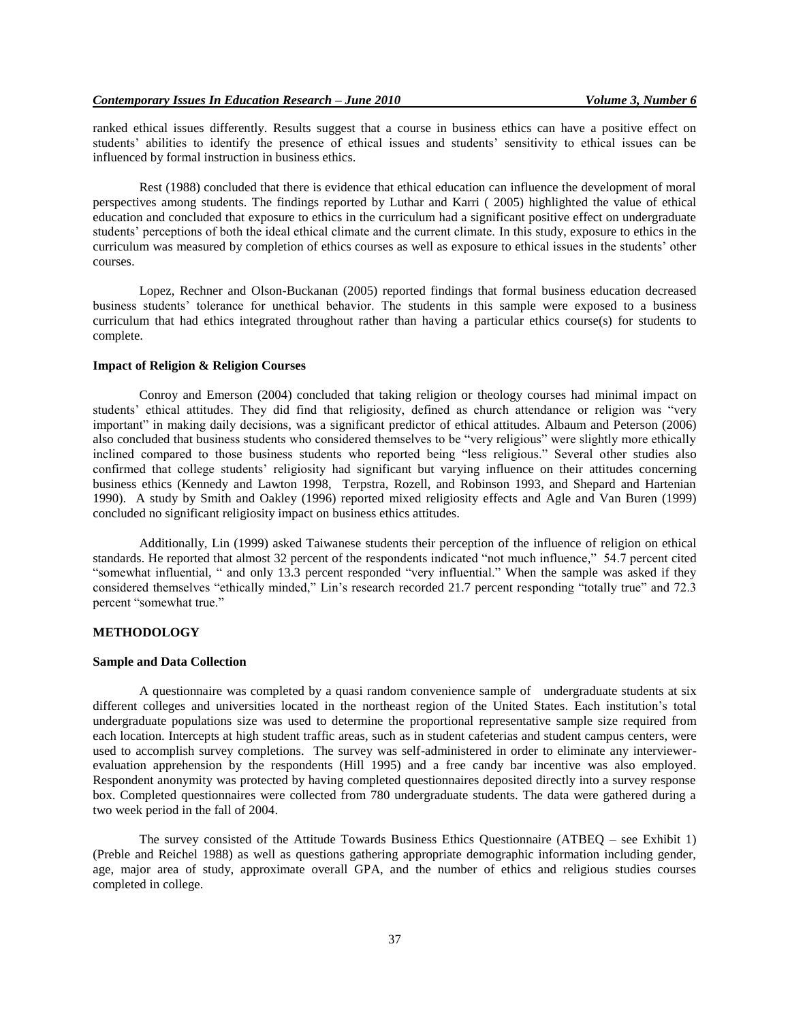ranked ethical issues differently. Results suggest that a course in business ethics can have a positive effect on students' abilities to identify the presence of ethical issues and students' sensitivity to ethical issues can be influenced by formal instruction in business ethics.

Rest (1988) concluded that there is evidence that ethical education can influence the development of moral perspectives among students. The findings reported by Luthar and Karri ( 2005) highlighted the value of ethical education and concluded that exposure to ethics in the curriculum had a significant positive effect on undergraduate students" perceptions of both the ideal ethical climate and the current climate. In this study, exposure to ethics in the curriculum was measured by completion of ethics courses as well as exposure to ethical issues in the students" other courses.

Lopez, Rechner and Olson-Buckanan (2005) reported findings that formal business education decreased business students' tolerance for unethical behavior. The students in this sample were exposed to a business curriculum that had ethics integrated throughout rather than having a particular ethics course(s) for students to complete.

#### **Impact of Religion & Religion Courses**

Conroy and Emerson (2004) concluded that taking religion or theology courses had minimal impact on students" ethical attitudes. They did find that religiosity, defined as church attendance or religion was "very important" in making daily decisions, was a significant predictor of ethical attitudes. Albaum and Peterson (2006) also concluded that business students who considered themselves to be "very religious" were slightly more ethically inclined compared to those business students who reported being "less religious." Several other studies also confirmed that college students' religiosity had significant but varying influence on their attitudes concerning business ethics (Kennedy and Lawton 1998, Terpstra, Rozell, and Robinson 1993, and Shepard and Hartenian 1990). A study by Smith and Oakley (1996) reported mixed religiosity effects and Agle and Van Buren (1999) concluded no significant religiosity impact on business ethics attitudes.

Additionally, Lin (1999) asked Taiwanese students their perception of the influence of religion on ethical standards. He reported that almost 32 percent of the respondents indicated "not much influence," 54.7 percent cited "somewhat influential, " and only 13.3 percent responded "very influential." When the sample was asked if they considered themselves "ethically minded," Lin"s research recorded 21.7 percent responding "totally true" and 72.3 percent "somewhat true."

#### **METHODOLOGY**

## **Sample and Data Collection**

A questionnaire was completed by a quasi random convenience sample of undergraduate students at six different colleges and universities located in the northeast region of the United States. Each institution"s total undergraduate populations size was used to determine the proportional representative sample size required from each location. Intercepts at high student traffic areas, such as in student cafeterias and student campus centers, were used to accomplish survey completions. The survey was self-administered in order to eliminate any interviewerevaluation apprehension by the respondents (Hill 1995) and a free candy bar incentive was also employed. Respondent anonymity was protected by having completed questionnaires deposited directly into a survey response box. Completed questionnaires were collected from 780 undergraduate students. The data were gathered during a two week period in the fall of 2004.

The survey consisted of the Attitude Towards Business Ethics Questionnaire (ATBEQ – see Exhibit 1) (Preble and Reichel 1988) as well as questions gathering appropriate demographic information including gender, age, major area of study, approximate overall GPA, and the number of ethics and religious studies courses completed in college.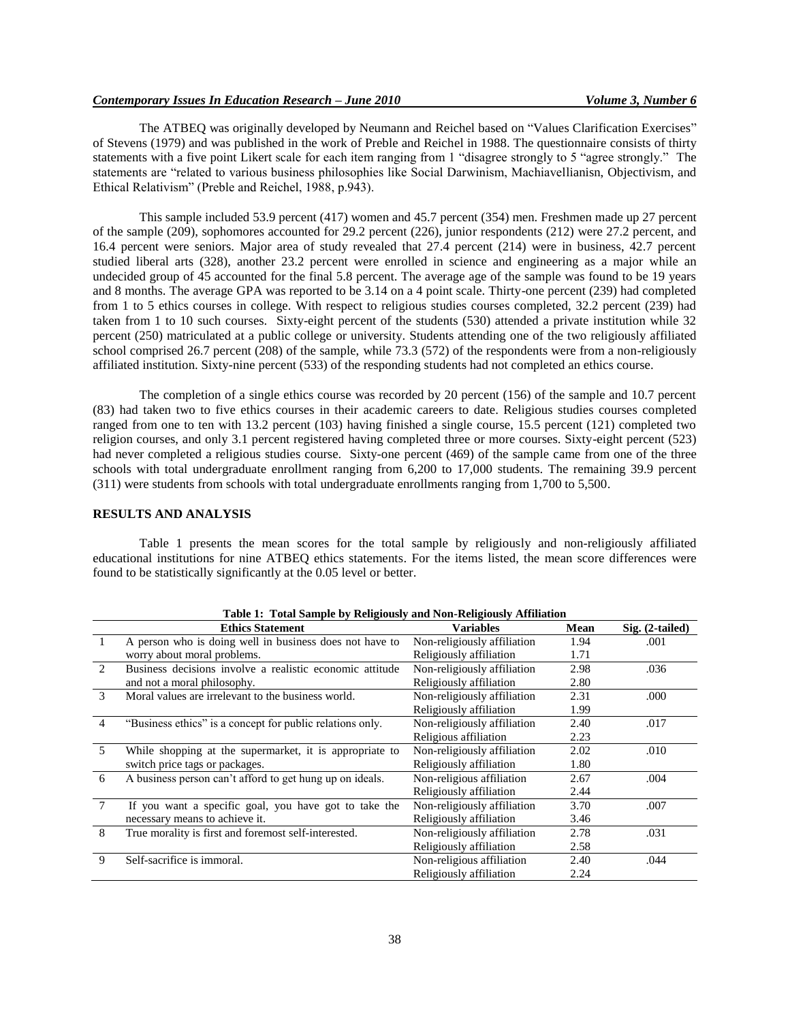## *Contemporary Issues In Education Research – June 2010 Volume 3, Number 6*

The ATBEQ was originally developed by Neumann and Reichel based on "Values Clarification Exercises" of Stevens (1979) and was published in the work of Preble and Reichel in 1988. The questionnaire consists of thirty statements with a five point Likert scale for each item ranging from 1 "disagree strongly to 5 "agree strongly." The statements are "related to various business philosophies like Social Darwinism, Machiavellianisn, Objectivism, and Ethical Relativism" (Preble and Reichel, 1988, p.943).

This sample included 53.9 percent (417) women and 45.7 percent (354) men. Freshmen made up 27 percent of the sample (209), sophomores accounted for 29.2 percent (226), junior respondents (212) were 27.2 percent, and 16.4 percent were seniors. Major area of study revealed that 27.4 percent (214) were in business, 42.7 percent studied liberal arts (328), another 23.2 percent were enrolled in science and engineering as a major while an undecided group of 45 accounted for the final 5.8 percent. The average age of the sample was found to be 19 years and 8 months. The average GPA was reported to be 3.14 on a 4 point scale. Thirty-one percent (239) had completed from 1 to 5 ethics courses in college. With respect to religious studies courses completed, 32.2 percent (239) had taken from 1 to 10 such courses. Sixty-eight percent of the students (530) attended a private institution while 32 percent (250) matriculated at a public college or university. Students attending one of the two religiously affiliated school comprised 26.7 percent (208) of the sample, while 73.3 (572) of the respondents were from a non-religiously affiliated institution. Sixty-nine percent (533) of the responding students had not completed an ethics course.

The completion of a single ethics course was recorded by 20 percent (156) of the sample and 10.7 percent (83) had taken two to five ethics courses in their academic careers to date. Religious studies courses completed ranged from one to ten with 13.2 percent (103) having finished a single course, 15.5 percent (121) completed two religion courses, and only 3.1 percent registered having completed three or more courses. Sixty-eight percent (523) had never completed a religious studies course. Sixty-one percent (469) of the sample came from one of the three schools with total undergraduate enrollment ranging from 6,200 to 17,000 students. The remaining 39.9 percent (311) were students from schools with total undergraduate enrollments ranging from 1,700 to 5,500.

#### **RESULTS AND ANALYSIS**

Table 1 presents the mean scores for the total sample by religiously and non-religiously affiliated educational institutions for nine ATBEQ ethics statements. For the items listed, the mean score differences were found to be statistically significantly at the 0.05 level or better.

| Table 1: Total Sample by Religiously and Non-Religiously Affiliation |                                                           |                             |             |                 |
|----------------------------------------------------------------------|-----------------------------------------------------------|-----------------------------|-------------|-----------------|
|                                                                      | <b>Ethics Statement</b>                                   | <b>Variables</b>            | <b>Mean</b> | Sig. (2-tailed) |
| $\overline{1}$                                                       | A person who is doing well in business does not have to   | Non-religiously affiliation | 1.94        | .001            |
|                                                                      | worry about moral problems.                               | Religiously affiliation     | 1.71        |                 |
| $\mathfrak{D}$                                                       | Business decisions involve a realistic economic attitude  | Non-religiously affiliation | 2.98        | .036            |
|                                                                      | and not a moral philosophy.                               | Religiously affiliation     | 2.80        |                 |
| 3                                                                    | Moral values are irrelevant to the business world.        | Non-religiously affiliation | 2.31        | .000            |
|                                                                      |                                                           | Religiously affiliation     | 1.99        |                 |
| $\overline{4}$                                                       | "Business ethics" is a concept for public relations only. | Non-religiously affiliation | 2.40        | .017            |
|                                                                      |                                                           | Religious affiliation       | 2.23        |                 |
| 5                                                                    | While shopping at the supermarket, it is appropriate to   | Non-religiously affiliation | 2.02        | .010            |
|                                                                      | switch price tags or packages.                            | Religiously affiliation     | 1.80        |                 |
| 6                                                                    | A business person can't afford to get hung up on ideals.  | Non-religious affiliation   | 2.67        | .004            |
|                                                                      |                                                           | Religiously affiliation     | 2.44        |                 |
| $\overline{7}$                                                       | If you want a specific goal, you have got to take the     | Non-religiously affiliation | 3.70        | .007            |
|                                                                      | necessary means to achieve it.                            | Religiously affiliation     | 3.46        |                 |
| 8                                                                    | True morality is first and foremost self-interested.      | Non-religiously affiliation | 2.78        | .031            |
|                                                                      |                                                           | Religiously affiliation     | 2.58        |                 |
| 9                                                                    | Self-sacrifice is immoral.                                | Non-religious affiliation   | 2.40        | .044            |
|                                                                      |                                                           | Religiously affiliation     | 2.24        |                 |

**Table 1: Total Sample by Religiously and Non-Religiously Affiliation**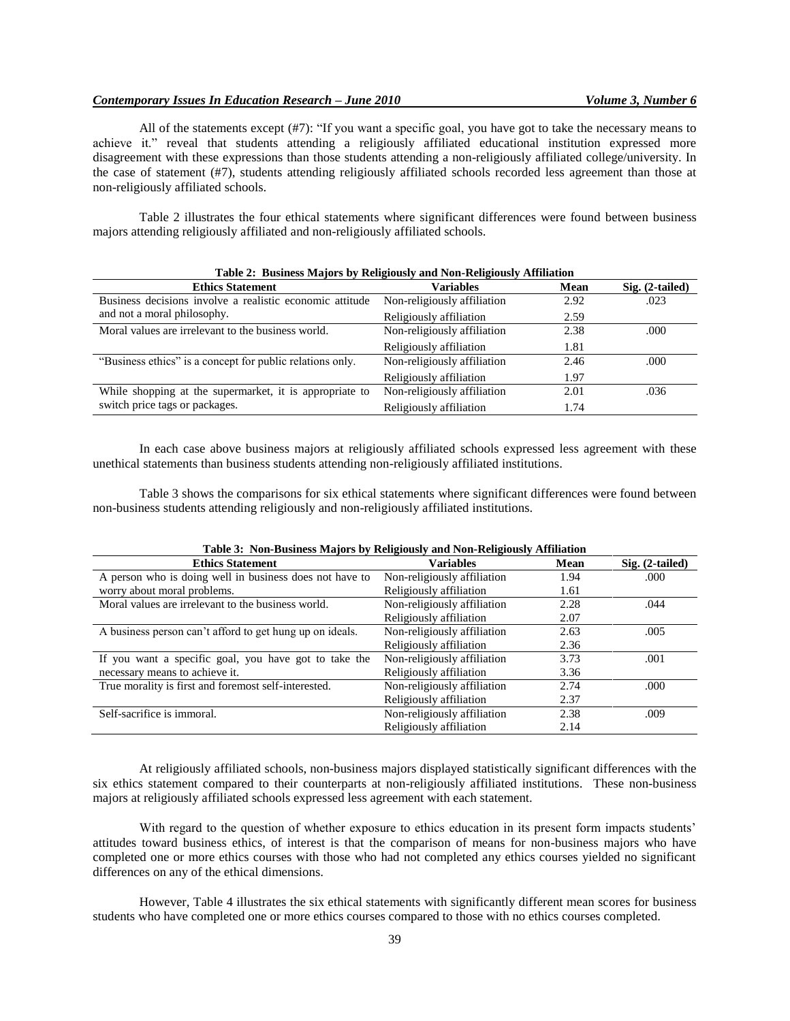## *Contemporary Issues In Education Research – June 2010 Volume 3, Number 6*

All of the statements except (#7): "If you want a specific goal, you have got to take the necessary means to achieve it." reveal that students attending a religiously affiliated educational institution expressed more disagreement with these expressions than those students attending a non-religiously affiliated college/university. In the case of statement (#7), students attending religiously affiliated schools recorded less agreement than those at non-religiously affiliated schools.

Table 2 illustrates the four ethical statements where significant differences were found between business majors attending religiously affiliated and non-religiously affiliated schools.

| Table 2: Dusiless Majors by Religiously and Non-Religiously Altimation |                             |      |                 |  |
|------------------------------------------------------------------------|-----------------------------|------|-----------------|--|
| <b>Ethics Statement</b>                                                | <b>Variables</b>            | Mean | Sig. (2-tailed) |  |
| Business decisions involve a realistic economic attitude               | Non-religiously affiliation | 2.92 | .023            |  |
| and not a moral philosophy.                                            | Religiously affiliation     | 2.59 |                 |  |
| Moral values are irrelevant to the business world.                     | Non-religiously affiliation | 2.38 | .000            |  |
|                                                                        | Religiously affiliation     | 1.81 |                 |  |
| "Business ethics" is a concept for public relations only.              | Non-religiously affiliation | 2.46 | .000            |  |
|                                                                        | Religiously affiliation     | 1.97 |                 |  |
| While shopping at the supermarket, it is appropriate to                | Non-religiously affiliation | 2.01 | .036            |  |
| switch price tags or packages.                                         | Religiously affiliation     | 1.74 |                 |  |

# **Table 2: Business Majors by Religiously and Non-Religiously Affiliation**

In each case above business majors at religiously affiliated schools expressed less agreement with these unethical statements than business students attending non-religiously affiliated institutions.

Table 3 shows the comparisons for six ethical statements where significant differences were found between non-business students attending religiously and non-religiously affiliated institutions.

| Lable 5. Twill-Dustliess Majors by Kellgiously and Twill-Kellgiously Althiation |                             |      |                   |  |  |
|---------------------------------------------------------------------------------|-----------------------------|------|-------------------|--|--|
| <b>Ethics Statement</b>                                                         | <b>Variables</b>            | Mean | $Sig. (2-tailed)$ |  |  |
| A person who is doing well in business does not have to                         | Non-religiously affiliation | 1.94 | .000              |  |  |
| worry about moral problems.                                                     | Religiously affiliation     | 1.61 |                   |  |  |
| Moral values are irrelevant to the business world.                              | Non-religiously affiliation | 2.28 | .044              |  |  |
|                                                                                 | Religiously affiliation     | 2.07 |                   |  |  |
| A business person can't afford to get hung up on ideals.                        | Non-religiously affiliation | 2.63 | .005              |  |  |
|                                                                                 | Religiously affiliation     | 2.36 |                   |  |  |
| If you want a specific goal, you have got to take the                           | Non-religiously affiliation | 3.73 | .001              |  |  |
| necessary means to achieve it.                                                  | Religiously affiliation     | 3.36 |                   |  |  |
| True morality is first and foremost self-interested.                            | Non-religiously affiliation | 2.74 | .000              |  |  |
|                                                                                 | Religiously affiliation     | 2.37 |                   |  |  |
| Self-sacrifice is immoral.                                                      | Non-religiously affiliation | 2.38 | .009              |  |  |
|                                                                                 | Religiously affiliation     | 2.14 |                   |  |  |

### **Table 3: Non-Business Majors by Religiously and Non-Religiously Affiliation**

At religiously affiliated schools, non-business majors displayed statistically significant differences with the six ethics statement compared to their counterparts at non-religiously affiliated institutions. These non-business majors at religiously affiliated schools expressed less agreement with each statement.

With regard to the question of whether exposure to ethics education in its present form impacts students' attitudes toward business ethics, of interest is that the comparison of means for non-business majors who have completed one or more ethics courses with those who had not completed any ethics courses yielded no significant differences on any of the ethical dimensions.

However, Table 4 illustrates the six ethical statements with significantly different mean scores for business students who have completed one or more ethics courses compared to those with no ethics courses completed.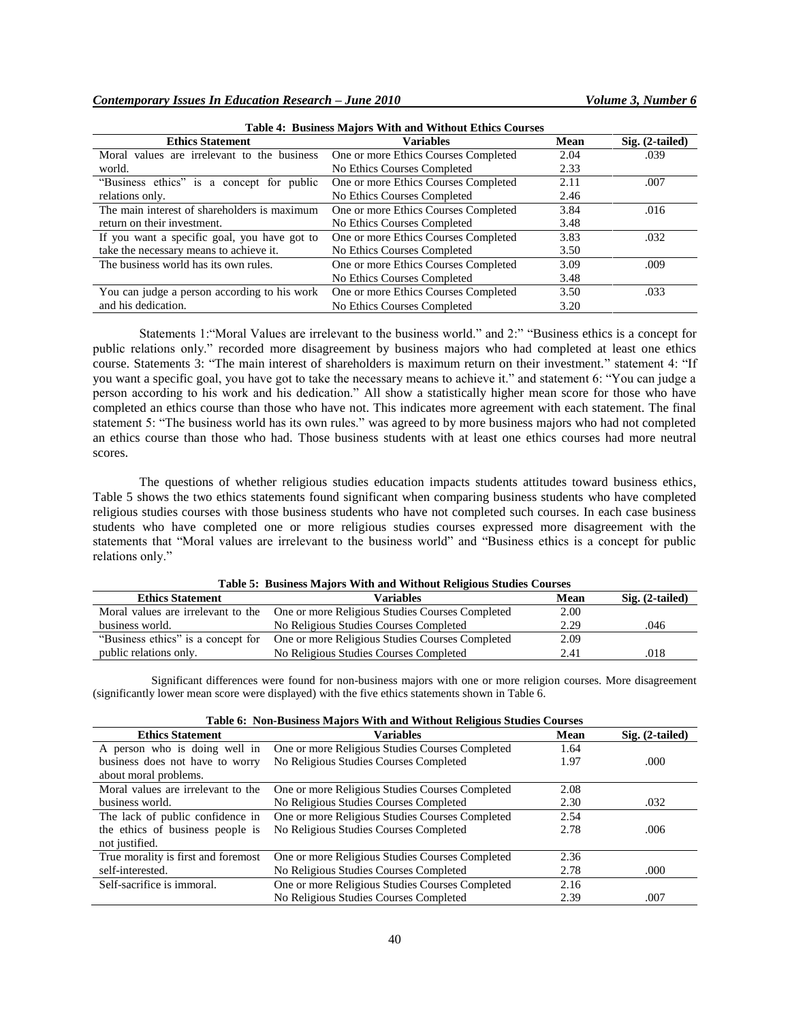| <b>Table 4: Business Majors With and Without Ethics Courses</b> |                                      |      |                   |  |
|-----------------------------------------------------------------|--------------------------------------|------|-------------------|--|
| <b>Ethics Statement</b>                                         | <b>Variables</b>                     | Mean | $Sig. (2-tailed)$ |  |
| Moral values are irrelevant to the business                     | One or more Ethics Courses Completed | 2.04 | .039              |  |
| world.                                                          | No Ethics Courses Completed          | 2.33 |                   |  |
| "Business ethics" is a concept for public                       | One or more Ethics Courses Completed | 2.11 | .007              |  |
| relations only.                                                 | No Ethics Courses Completed          | 2.46 |                   |  |
| The main interest of shareholders is maximum                    | One or more Ethics Courses Completed | 3.84 | .016              |  |
| return on their investment.                                     | No Ethics Courses Completed          | 3.48 |                   |  |
| If you want a specific goal, you have got to                    | One or more Ethics Courses Completed | 3.83 | .032              |  |
| take the necessary means to achieve it.                         | No Ethics Courses Completed          | 3.50 |                   |  |
| The business world has its own rules.                           | One or more Ethics Courses Completed | 3.09 | .009              |  |
|                                                                 | No Ethics Courses Completed          | 3.48 |                   |  |
| You can judge a person according to his work                    | One or more Ethics Courses Completed | 3.50 | .033              |  |
| and his dedication.                                             | No Ethics Courses Completed          | 3.20 |                   |  |

Statements 1:"Moral Values are irrelevant to the business world." and 2:" "Business ethics is a concept for public relations only." recorded more disagreement by business majors who had completed at least one ethics course. Statements 3: "The main interest of shareholders is maximum return on their investment." statement 4: "If you want a specific goal, you have got to take the necessary means to achieve it." and statement 6: "You can judge a person according to his work and his dedication." All show a statistically higher mean score for those who have completed an ethics course than those who have not. This indicates more agreement with each statement. The final statement 5: "The business world has its own rules." was agreed to by more business majors who had not completed an ethics course than those who had. Those business students with at least one ethics courses had more neutral scores.

The questions of whether religious studies education impacts students attitudes toward business ethics, Table 5 shows the two ethics statements found significant when comparing business students who have completed religious studies courses with those business students who have not completed such courses. In each case business students who have completed one or more religious studies courses expressed more disagreement with the statements that "Moral values are irrelevant to the business world" and "Business ethics is a concept for public relations only."

| Table 5. Dusiness majors with and without ivergrous bludles Courses |                                                 |      |                   |
|---------------------------------------------------------------------|-------------------------------------------------|------|-------------------|
| <b>Ethics Statement</b>                                             | Variables                                       | Mean | $Sig. (2-tailed)$ |
| Moral values are irrelevant to the                                  | One or more Religious Studies Courses Completed | 2.00 |                   |
| business world.                                                     | No Religious Studies Courses Completed          | 2.29 | .046              |
| "Business ethics" is a concept for                                  | One or more Religious Studies Courses Completed | 2.09 |                   |
| public relations only.                                              | No Religious Studies Courses Completed          | 2.41 | .018              |

**Table 5: Business Majors With and Without Religious Studies Courses**

Significant differences were found for non-business majors with one or more religion courses. More disagreement (significantly lower mean score were displayed) with the five ethics statements shown in Table 6.

| Table 0. Twil-Dustiness triajurs with and without incligious biddies Courses |                                                 |      |                   |  |
|------------------------------------------------------------------------------|-------------------------------------------------|------|-------------------|--|
| <b>Ethics Statement</b>                                                      | <b>Variables</b>                                | Mean | $Sig. (2-tailed)$ |  |
| A person who is doing well in                                                | One or more Religious Studies Courses Completed | 1.64 |                   |  |
| business does not have to worry                                              | No Religious Studies Courses Completed          | 1.97 | .000              |  |
| about moral problems.                                                        |                                                 |      |                   |  |
| Moral values are irrelevant to the                                           | One or more Religious Studies Courses Completed | 2.08 |                   |  |
| business world.                                                              | No Religious Studies Courses Completed          | 2.30 | .032              |  |
| The lack of public confidence in                                             | One or more Religious Studies Courses Completed | 2.54 |                   |  |
| the ethics of business people is                                             | No Religious Studies Courses Completed          | 2.78 | .006              |  |
| not justified.                                                               |                                                 |      |                   |  |
| True morality is first and foremost                                          | One or more Religious Studies Courses Completed | 2.36 |                   |  |
| self-interested.                                                             | No Religious Studies Courses Completed          | 2.78 | .000              |  |
| Self-sacrifice is immoral.                                                   | One or more Religious Studies Courses Completed | 2.16 |                   |  |
|                                                                              | No Religious Studies Courses Completed          | 2.39 | .007              |  |

# **Table 6: Non-Business Majors With and Without Religious Studies Courses**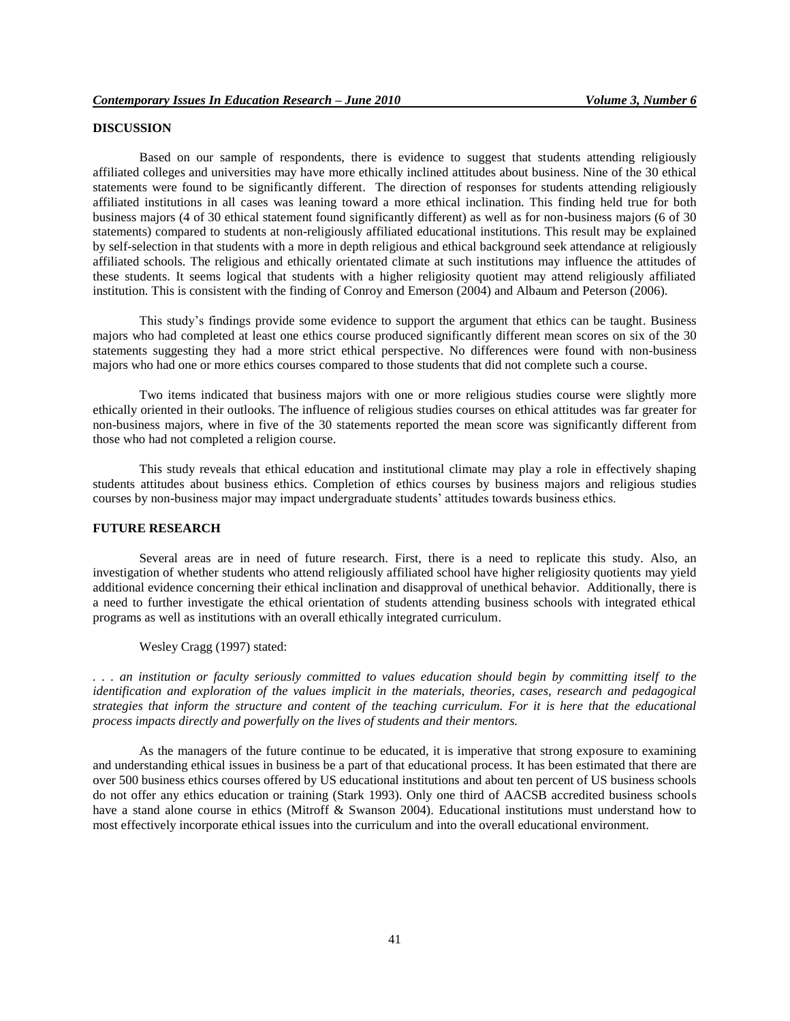# **DISCUSSION**

Based on our sample of respondents, there is evidence to suggest that students attending religiously affiliated colleges and universities may have more ethically inclined attitudes about business. Nine of the 30 ethical statements were found to be significantly different. The direction of responses for students attending religiously affiliated institutions in all cases was leaning toward a more ethical inclination. This finding held true for both business majors (4 of 30 ethical statement found significantly different) as well as for non-business majors (6 of 30 statements) compared to students at non-religiously affiliated educational institutions. This result may be explained by self-selection in that students with a more in depth religious and ethical background seek attendance at religiously affiliated schools. The religious and ethically orientated climate at such institutions may influence the attitudes of these students. It seems logical that students with a higher religiosity quotient may attend religiously affiliated institution. This is consistent with the finding of Conroy and Emerson (2004) and Albaum and Peterson (2006).

This study"s findings provide some evidence to support the argument that ethics can be taught. Business majors who had completed at least one ethics course produced significantly different mean scores on six of the 30 statements suggesting they had a more strict ethical perspective. No differences were found with non-business majors who had one or more ethics courses compared to those students that did not complete such a course.

Two items indicated that business majors with one or more religious studies course were slightly more ethically oriented in their outlooks. The influence of religious studies courses on ethical attitudes was far greater for non-business majors, where in five of the 30 statements reported the mean score was significantly different from those who had not completed a religion course.

This study reveals that ethical education and institutional climate may play a role in effectively shaping students attitudes about business ethics. Completion of ethics courses by business majors and religious studies courses by non-business major may impact undergraduate students" attitudes towards business ethics.

#### **FUTURE RESEARCH**

Several areas are in need of future research. First, there is a need to replicate this study. Also, an investigation of whether students who attend religiously affiliated school have higher religiosity quotients may yield additional evidence concerning their ethical inclination and disapproval of unethical behavior. Additionally, there is a need to further investigate the ethical orientation of students attending business schools with integrated ethical programs as well as institutions with an overall ethically integrated curriculum.

Wesley Cragg (1997) stated:

*. . . an institution or faculty seriously committed to values education should begin by committing itself to the identification and exploration of the values implicit in the materials, theories, cases, research and pedagogical strategies that inform the structure and content of the teaching curriculum. For it is here that the educational process impacts directly and powerfully on the lives of students and their mentors.* 

As the managers of the future continue to be educated, it is imperative that strong exposure to examining and understanding ethical issues in business be a part of that educational process. It has been estimated that there are over 500 business ethics courses offered by US educational institutions and about ten percent of US business schools do not offer any ethics education or training (Stark 1993). Only one third of AACSB accredited business schools have a stand alone course in ethics (Mitroff & Swanson 2004). Educational institutions must understand how to most effectively incorporate ethical issues into the curriculum and into the overall educational environment.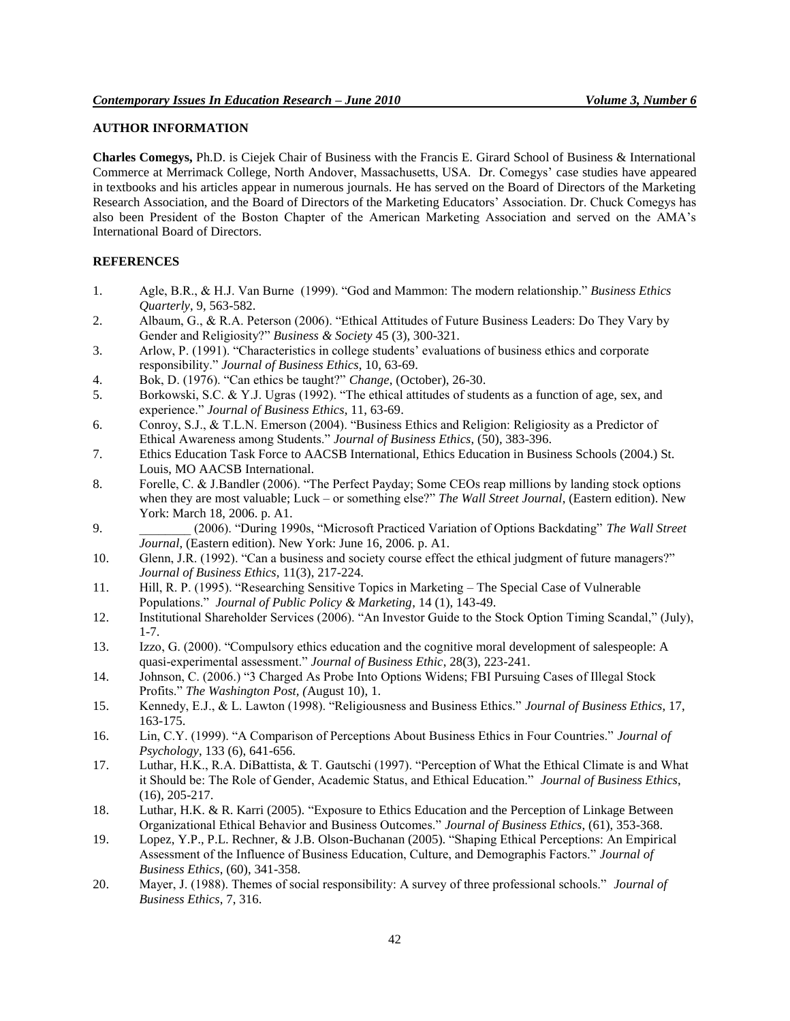# **AUTHOR INFORMATION**

**Charles Comegys,** Ph.D. is Ciejek Chair of Business with the Francis E. Girard School of Business & International Commerce at Merrimack College, North Andover, Massachusetts, USA. Dr. Comegys" case studies have appeared in textbooks and his articles appear in numerous journals. He has served on the Board of Directors of the Marketing Research Association, and the Board of Directors of the Marketing Educators" Association. Dr. Chuck Comegys has also been President of the Boston Chapter of the American Marketing Association and served on the AMA"s International Board of Directors.

## **REFERENCES**

- 1. Agle, B.R., & H.J. Van Burne (1999). "God and Mammon: The modern relationship." *Business Ethics Quarterly*, 9, 563-582.
- 2. Albaum, G., & R.A. Peterson (2006). "Ethical Attitudes of Future Business Leaders: Do They Vary by Gender and Religiosity?" *Business & Society* 45 (3), 300-321.
- 3. Arlow, P. (1991). "Characteristics in college students" evaluations of business ethics and corporate responsibility." *Journal of Business Ethics*, 10, 63-69.
- 4. Bok, D. (1976). "Can ethics be taught?" *Change*, (October), 26-30.
- 5. Borkowski, S.C. & Y.J. Ugras (1992). "The ethical attitudes of students as a function of age, sex, and experience." *Journal of Business Ethics*, 11, 63-69.
- 6. Conroy, S.J., & T.L.N. Emerson (2004). "Business Ethics and Religion: Religiosity as a Predictor of Ethical Awareness among Students." *Journal of Business Ethics*, (50), 383-396.
- 7. Ethics Education Task Force to AACSB International, Ethics Education in Business Schools (2004.) St. Louis, MO AACSB International.
- 8. Forelle, C. & J.Bandler (2006). "The Perfect Payday; Some CEOs reap millions by landing stock options when they are most valuable; Luck – or something else?" *The Wall Street Journal*, (Eastern edition). New York: March 18, 2006. p. A1.
- 9. \_\_\_\_\_\_\_\_ (2006). "During 1990s, "Microsoft Practiced Variation of Options Backdating" *The Wall Street Journal*, (Eastern edition). New York: June 16, 2006. p. A1.
- 10. Glenn, J.R. (1992). "Can a business and society course effect the ethical judgment of future managers?" *Journal of Business Ethics,* 11(3), 217-224.
- 11. Hill, R. P. (1995). "Researching Sensitive Topics in Marketing The Special Case of Vulnerable Populations." *Journal of Public Policy & Marketing*, 14 (1), 143-49.
- 12. Institutional Shareholder Services (2006). "An Investor Guide to the Stock Option Timing Scandal," (July), 1-7.
- 13. Izzo, G. (2000). "Compulsory ethics education and the cognitive moral development of salespeople: A quasi-experimental assessment." *Journal of Business Ethic*, 28(3), 223-241.
- 14. Johnson, C. (2006.) "3 Charged As Probe Into Options Widens; FBI Pursuing Cases of Illegal Stock Profits." *The Washington Post, (*August 10), 1.
- 15. Kennedy, E.J., & L. Lawton (1998). "Religiousness and Business Ethics." *Journal of Business Ethics*, 17, 163-175.
- 16. Lin, C.Y. (1999). "A Comparison of Perceptions About Business Ethics in Four Countries." *Journal of Psychology*, 133 (6), 641-656.
- 17. Luthar, H.K., R.A. DiBattista, & T. Gautschi (1997). "Perception of What the Ethical Climate is and What it Should be: The Role of Gender, Academic Status, and Ethical Education." *Journal of Business Ethics*, (16), 205-217.
- 18. Luthar, H.K. & R. Karri (2005). "Exposure to Ethics Education and the Perception of Linkage Between Organizational Ethical Behavior and Business Outcomes." *Journal of Business Ethics*, (61), 353-368.
- 19. Lopez, Y.P., P.L. Rechner, & J.B. Olson-Buchanan (2005). "Shaping Ethical Perceptions: An Empirical Assessment of the Influence of Business Education, Culture, and Demographis Factors." *Journal of Business Ethics*, (60), 341-358.
- 20. Mayer, J. (1988). Themes of social responsibility: A survey of three professional schools." *Journal of Business Ethics*, 7, 316.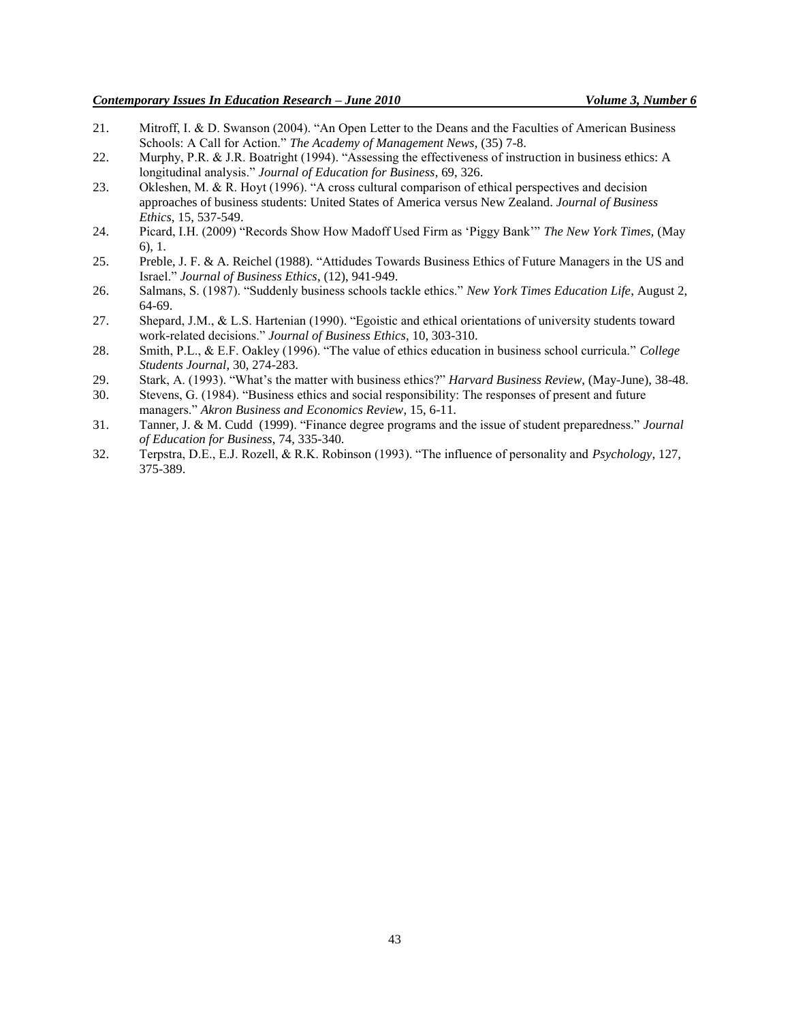- 21. Mitroff, I. & D. Swanson (2004). "An Open Letter to the Deans and the Faculties of American Business Schools: A Call for Action." *The Academy of Management News*, (35) 7-8.
- 22. Murphy, P.R. & J.R. Boatright (1994). "Assessing the effectiveness of instruction in business ethics: A longitudinal analysis." *Journal of Education for Business*, 69, 326.
- 23. Okleshen, M. & R. Hoyt (1996). "A cross cultural comparison of ethical perspectives and decision approaches of business students: United States of America versus New Zealand. *Journal of Business Ethics*, 15, 537-549.
- 24. Picard, I.H. (2009) "Records Show How Madoff Used Firm as "Piggy Bank"" *The New York Times,* (May 6), 1.
- 25. Preble, J. F. & A. Reichel (1988). "Attidudes Towards Business Ethics of Future Managers in the US and Israel." *Journal of Business Ethics*, (12), 941-949.
- 26. Salmans, S. (1987). "Suddenly business schools tackle ethics." *New York Times Education Life*, August 2, 64-69.
- 27. Shepard, J.M., & L.S. Hartenian (1990). "Egoistic and ethical orientations of university students toward work-related decisions." *Journal of Business Ethics*, 10, 303-310.
- 28. Smith, P.L., & E.F. Oakley (1996). "The value of ethics education in business school curricula." *College Students Journal*, 30, 274-283.
- 29. Stark, A. (1993). "What"s the matter with business ethics?" *Harvard Business Review*, (May-June), 38-48.
- 30. Stevens, G. (1984). "Business ethics and social responsibility: The responses of present and future managers." *Akron Business and Economics Review*, 15, 6-11.
- 31. Tanner, J. & M. Cudd (1999). "Finance degree programs and the issue of student preparedness." *Journal of Education for Business*, 74, 335-340.
- 32. Terpstra, D.E., E.J. Rozell, & R.K. Robinson (1993). "The influence of personality and *Psychology*, 127, 375-389.